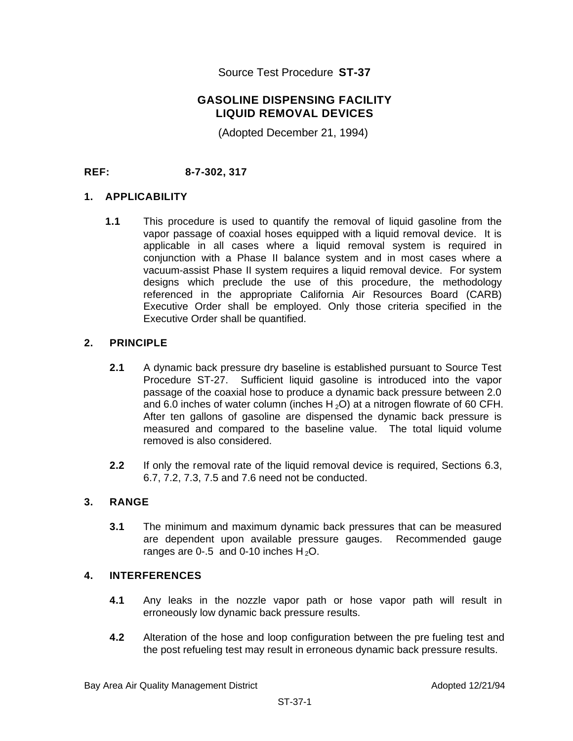Source Test Procedure **ST-37** 

## **GASOLINE DISPENSING FACILITY LIQUID REMOVAL DEVICES**

(Adopted December 21, 1994)

**REF: 8-7-302, 317** 

#### **1. APPLICABILITY**

**1.1** This procedure is used to quantify the removal of liquid gasoline from the vapor passage of coaxial hoses equipped with a liquid removal device. It is applicable in all cases where a liquid removal system is required in conjunction with a Phase II balance system and in most cases where a vacuum-assist Phase II system requires a liquid removal device. For system designs which preclude the use of this procedure, the methodology referenced in the appropriate California Air Resources Board (CARB) Executive Order shall be employed. Only those criteria specified in the Executive Order shall be quantified.

### **2. PRINCIPLE**

- **2.1** A dynamic back pressure dry baseline is established pursuant to Source Test Procedure ST-27. Sufficient liquid gasoline is introduced into the vapor passage of the coaxial hose to produce a dynamic back pressure between 2.0 and 6.0 inches of water column (inches  $H_2O$ ) at a nitrogen flowrate of 60 CFH. After ten gallons of gasoline are dispensed the dynamic back pressure is measured and compared to the baseline value. The total liquid volume removed is also considered.
- **2.2** If only the removal rate of the liquid removal device is required, Sections 6.3, 6.7, 7.2, 7.3, 7.5 and 7.6 need not be conducted.

#### **3. RANGE**

**3.1** The minimum and maximum dynamic back pressures that can be measured are dependent upon available pressure gauges. Recommended gauge ranges are 0-.5 and 0-10 inches  $H_2O$ .

#### **4. INTERFERENCES**

- **4.1** Any leaks in the nozzle vapor path or hose vapor path will result in erroneously low dynamic back pressure results.
- **4.2** Alteration of the hose and loop configuration between the pre fueling test and the post refueling test may result in erroneous dynamic back pressure results.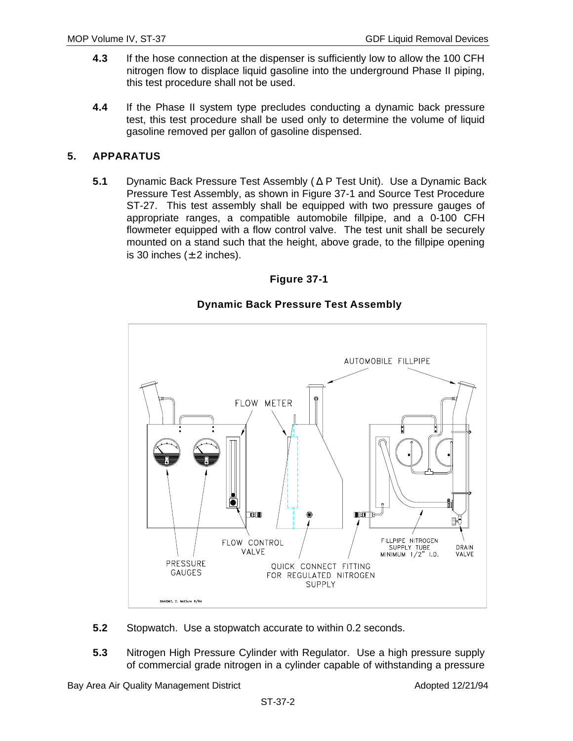- **4.3** If the hose connection at the dispenser is sufficiently low to allow the 100 CFH nitrogen flow to displace liquid gasoline into the underground Phase II piping, this test procedure shall not be used.
- **4.4** If the Phase II system type precludes conducting a dynamic back pressure test, this test procedure shall be used only to determine the volume of liquid gasoline removed per gallon of gasoline dispensed.

## **5. APPARATUS**

**5.1** Dynamic Back Pressure Test Assembly ( $\triangle P$  Test Unit). Use a Dynamic Back Pressure Test Assembly, as shown in Figure 37-1 and Source Test Procedure ST-27. This test assembly shall be equipped with two pressure gauges of appropriate ranges, a compatible automobile fillpipe, and a 0-100 CFH flowmeter equipped with a flow control valve. The test unit shall be securely mounted on a stand such that the height, above grade, to the fillpipe opening is 30 inches  $(\pm 2 \text{ inches})$ .





## **Dynamic Back Pressure Test Assembly**

- **5.2** Stopwatch. Use a stopwatch accurate to within 0.2 seconds.
- **5.3** Nitrogen High Pressure Cylinder with Regulator. Use a high pressure supply of commercial grade nitrogen in a cylinder capable of withstanding a pressure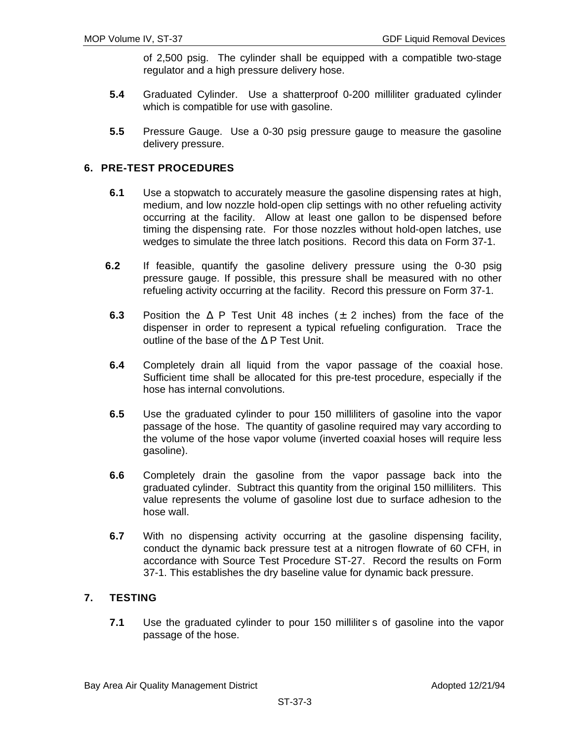of 2,500 psig. The cylinder shall be equipped with a compatible two-stage regulator and a high pressure delivery hose.

- **5.4** Graduated Cylinder. Use a shatterproof 0-200 milliliter graduated cylinder which is compatible for use with gasoline.
- **5.5** Pressure Gauge. Use a 0-30 psig pressure gauge to measure the gasoline delivery pressure.

### **6. PRE-TEST PROCEDURES**

- **6.1** Use a stopwatch to accurately measure the gasoline dispensing rates at high, medium, and low nozzle hold-open clip settings with no other refueling activity occurring at the facility. Allow at least one gallon to be dispensed before timing the dispensing rate. For those nozzles without hold-open latches, use wedges to simulate the three latch positions. Record this data on Form 37-1.
- **6.2** If feasible, quantify the gasoline delivery pressure using the 0-30 psig pressure gauge. If possible, this pressure shall be measured with no other refueling activity occurring at the facility. Record this pressure on Form 37-1.
- **6.3** Position the  $\Delta$  P Test Unit 48 inches ( $\pm$  2 inches) from the face of the dispenser in order to represent a typical refueling configuration. Trace the outline of the base of the  $\Delta$  P Test Unit.
- **6.4** Completely drain all liquid from the vapor passage of the coaxial hose. Sufficient time shall be allocated for this pre-test procedure, especially if the hose has internal convolutions.
- **6.5** Use the graduated cylinder to pour 150 milliliters of gasoline into the vapor passage of the hose. The quantity of gasoline required may vary according to the volume of the hose vapor volume (inverted coaxial hoses will require less gasoline).
- **6.6** Completely drain the gasoline from the vapor passage back into the graduated cylinder. Subtract this quantity from the original 150 milliliters. This value represents the volume of gasoline lost due to surface adhesion to the hose wall.
- **6.7** With no dispensing activity occurring at the gasoline dispensing facility, conduct the dynamic back pressure test at a nitrogen flowrate of 60 CFH, in accordance with Source Test Procedure ST-27. Record the results on Form 37-1. This establishes the dry baseline value for dynamic back pressure.

# **7. TESTING**

**7.1** Use the graduated cylinder to pour 150 milliliter s of gasoline into the vapor passage of the hose.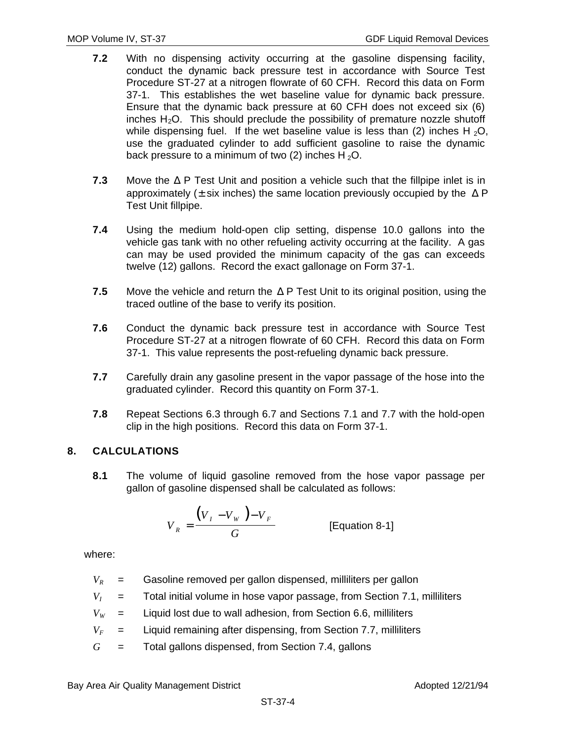- **7.2** With no dispensing activity occurring at the gasoline dispensing facility, conduct the dynamic back pressure test in accordance with Source Test Procedure ST-27 at a nitrogen flowrate of 60 CFH. Record this data on Form 37-1. This establishes the wet baseline value for dynamic back pressure. Ensure that the dynamic back pressure at 60 CFH does not exceed six (6) inches  $H_2O$ . This should preclude the possibility of premature nozzle shutoff while dispensing fuel. If the wet baseline value is less than (2) inches H<sub>2</sub>O, use the graduated cylinder to add sufficient gasoline to raise the dynamic back pressure to a minimum of two (2) inches  $H_2O$ .
- **7.3** Move the  $\triangle P$  Test Unit and position a vehicle such that the fillpipe inlet is in approximately ( $\pm$  six inches) the same location previously occupied by the  $\Delta$  P Test Unit fillpipe.
- **7.4** Using the medium hold-open clip setting, dispense 10.0 gallons into the vehicle gas tank with no other refueling activity occurring at the facility. A gas can may be used provided the minimum capacity of the gas can exceeds twelve (12) gallons. Record the exact gallonage on Form 37-1.
- **7.5** Move the vehicle and return the  $\Delta$  P Test Unit to its original position, using the traced outline of the base to verify its position.
- **7.6** Conduct the dynamic back pressure test in accordance with Source Test Procedure ST-27 at a nitrogen flowrate of 60 CFH. Record this data on Form 37-1. This value represents the post-refueling dynamic back pressure.
- **7.7** Carefully drain any gasoline present in the vapor passage of the hose into the graduated cylinder. Record this quantity on Form 37-1.
- **7.8** Repeat Sections 6.3 through 6.7 and Sections 7.1 and 7.7 with the hold-open clip in the high positions. Record this data on Form 37-1.

## **8. CALCULATIONS**

**8.1** The volume of liquid gasoline removed from the hose vapor passage per gallon of gasoline dispensed shall be calculated as follows:

$$
V_R = \frac{\left(V_I - V_W\right) - V_F}{G}
$$
 [Equation 8-1]

where:

- $V_R$  = Gasoline removed per gallon dispensed, milliliters per gallon
- $V_I$  = Total initial volume in hose vapor passage, from Section 7.1, milliliters
- $V_W$  = Liquid lost due to wall adhesion, from Section 6.6, milliliters
- $V_F$  = Liquid remaining after dispensing, from Section 7.7, milliliters
- *G* = Total gallons dispensed, from Section 7.4, gallons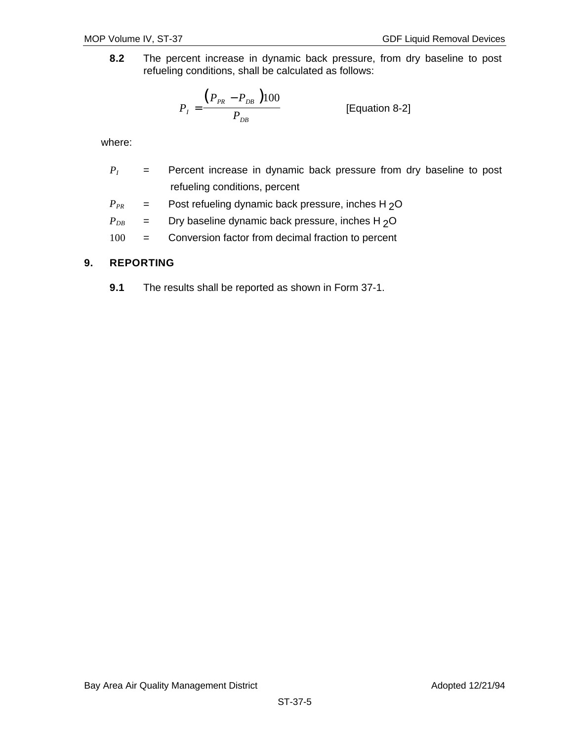**8.2** The percent increase in dynamic back pressure, from dry baseline to post refueling conditions, shall be calculated as follows:

$$
P_{I} = \frac{(P_{PR} - P_{DB})100}{P_{DB}}
$$
 [Equation 8-2]

where:

- *P<sub>I</sub>* = Percent increase in dynamic back pressure from dry baseline to post refueling conditions, percent
- $P_{PR}$  = Post refueling dynamic back pressure, inches H<sub>2</sub>O

 $P_{DB}$  = Dry baseline dynamic back pressure, inches H<sub>2</sub>O

100 = Conversion factor from decimal fraction to percent

### **9. REPORTING**

**9.1** The results shall be reported as shown in Form 37-1.